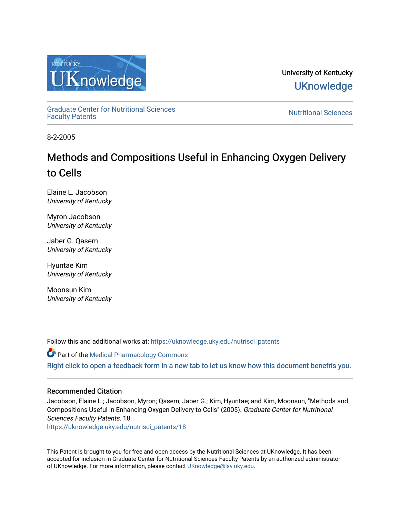

University of Kentucky **UKnowledge** 

[Graduate Center for Nutritional Sciences](https://uknowledge.uky.edu/nutrisci_patents) 

**Nutritional Sciences** 

8-2-2005

# Methods and Compositions Useful in Enhancing Oxygen Delivery to Cells

Elaine L. Jacobson University of Kentucky

Myron Jacobson University of Kentucky

Jaber G. Qasem University of Kentucky

Hyuntae Kim University of Kentucky

Moonsun Kim University of Kentucky

Follow this and additional works at: [https://uknowledge.uky.edu/nutrisci\\_patents](https://uknowledge.uky.edu/nutrisci_patents?utm_source=uknowledge.uky.edu%2Fnutrisci_patents%2F18&utm_medium=PDF&utm_campaign=PDFCoverPages)

Part of the [Medical Pharmacology Commons](http://network.bepress.com/hgg/discipline/960?utm_source=uknowledge.uky.edu%2Fnutrisci_patents%2F18&utm_medium=PDF&utm_campaign=PDFCoverPages)  [Right click to open a feedback form in a new tab to let us know how this document benefits you.](https://uky.az1.qualtrics.com/jfe/form/SV_9mq8fx2GnONRfz7)

## Recommended Citation

Jacobson, Elaine L.; Jacobson, Myron; Qasem, Jaber G.; Kim, Hyuntae; and Kim, Moonsun, "Methods and Compositions Useful in Enhancing Oxygen Delivery to Cells" (2005). Graduate Center for Nutritional Sciences Faculty Patents. 18.

[https://uknowledge.uky.edu/nutrisci\\_patents/18](https://uknowledge.uky.edu/nutrisci_patents/18?utm_source=uknowledge.uky.edu%2Fnutrisci_patents%2F18&utm_medium=PDF&utm_campaign=PDFCoverPages) 

This Patent is brought to you for free and open access by the Nutritional Sciences at UKnowledge. It has been accepted for inclusion in Graduate Center for Nutritional Sciences Faculty Patents by an authorized administrator of UKnowledge. For more information, please contact [UKnowledge@lsv.uky.edu.](mailto:UKnowledge@lsv.uky.edu)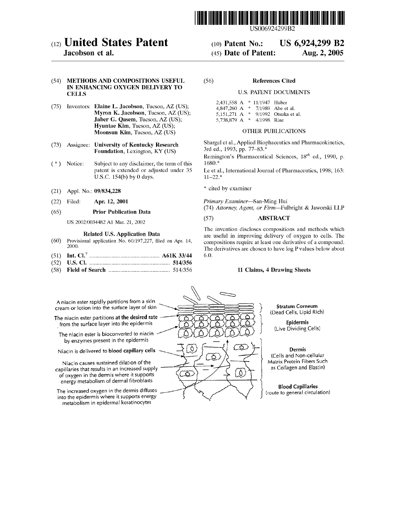

US006924299B2

US 6,924,299 B2

Aug. 2, 2005

## (12) United States Patent

## Jacobson et al.

#### (54) METHODS AND COMPOSITIONS USEFUL IN ENHANCING OXYGEN DELIVERY TO **CELLS**

- (75) Inventors: Elaine L. Jacobson, Tucson, AZ (US); Myron K. Jacobson, Tucson, AZ (US); Jaber G. Qasem, Tucson, AZ (US); Hyuntae Kim, Tucson, AZ (US); Moonsun Kim, Tucson, AZ (US)
- **Assignee: University of Kentucky Research**  $(73)$ Foundation, Lexington, KY (US)
- $(*)$ Notice: Subject to any disclaimer, the term of this patent is extended or adjusted under 35 U.S.C. 154(b) by 0 days.
- Appl. No.: 09/834,228  $(21)$
- $(22)$ Filed: Apr. 12, 2001

#### $(65)$ **Prior Publication Data**

US 2002/0034482 A1 Mar. 21, 2002

#### **Related U.S. Application Data**

- $(60)$ Provisional application No. 60/197,227, filed on Apr. 14, 2000.
- $(51)$
- $(52)$
- 

#### $(56)$ **References Cited**

 $(10)$  Patent No.:

(45) Date of Patent:

#### **U.S. PATENT DOCUMENTS**

| 2,431,558 A     | * 11/1947 Huber |                         |
|-----------------|-----------------|-------------------------|
| 4,847,260 A     |                 | $*$ 7/1989 Abe et al.   |
| 5,151,271 A     |                 | * $9/1992$ Otsuka et al |
| 5,738,879 A $*$ | 4/1998 Rine     |                         |

#### OTHER PUBLICATIONS

Shargel et al., Applied Biophaceutics and Pharmacokinetics, 3rd ed., 1993, pp. 77-83.\*

Remington's Pharmaceutical Sciences, 18<sup>th</sup> ed., 1990, p. 1680.\*

Le et al., International Journal of Pharmaceutics, 1998; 163:  $11 - 22.*$ 

\* cited by examiner

C

হ

Primary Examiner-San-Ming Hui (74) Attorney, Agent, or Firm-Fulbright & Jaworski LLP

#### **ABSTRACT**  $(57)$

<u>( A</u>

The invention discloses compositions and methods which are useful in improving delivery of oxygen to cells. The compositions require at least one derivative of a compound. The derivatives are chosen to have log P values below about 6.0

### 11 Claims, 4 Drawing Sheets

A niacin ester rapidly partitions from a skin cream or lotion into the surface layer of skin

The niacin ester partitions at the desired rate from the surface layer into the epidermis

The niacin ester is bioconverted to niacin by enzymes present in the epidermis

Niacin is delivered to blood capillary cells

Niacin causes sustained dilation of the capillaries that results in an increased supply of oxygen in the dermis where it supports energy metabolism of dermal fibroblasts

The increased oxygen in the dermis diffuses into the epidermis where it supports energy metabolism in epidermal keratinocytes

**Stratum Corneum** (Dead Cells, Lipid Rich)

Epidermis (Live Dividing Cells)

#### Dermis

(Cells and Non-cellular Matrix Protein Fibers Such as Collagen and Elastin)

**Blood Capillaries** (route to general circulation)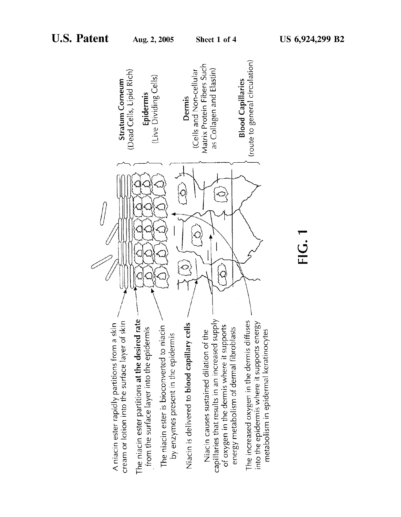

 $\frac{1}{2}$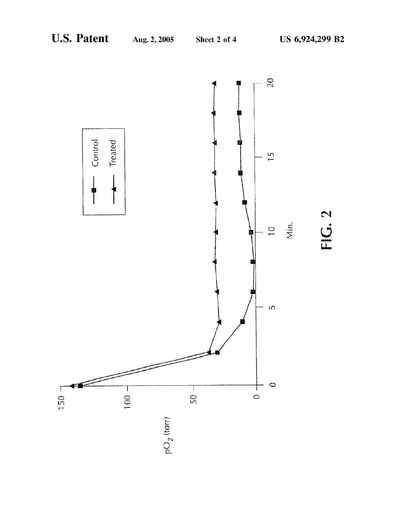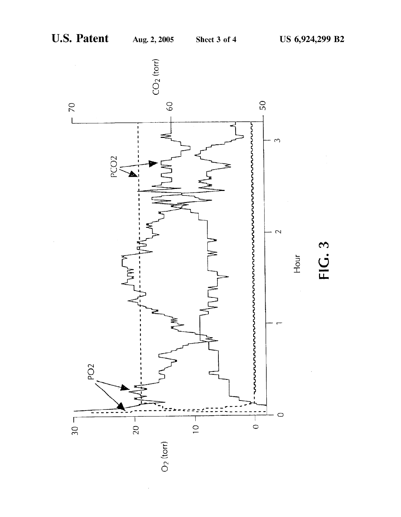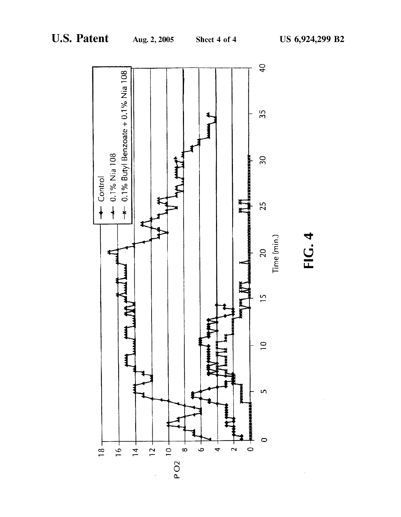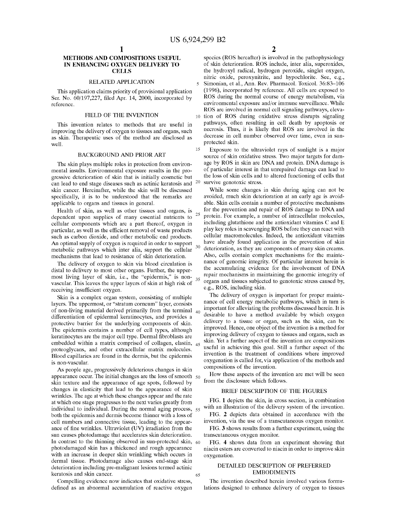10

15

30

### METHODS AND COMPOSITIONS USEFUL IN ENHANCING OXYGEN DELIVERY TO **CELLS**

#### RELATED APPLICATION

This application claims priority of provisional application Ser. No. 60/197,227, filed Apr. 14, 2000, incorporated by reference.

#### FIELD OF THE INVENTION

This invention relates to methods that are useful in improving the delivery of oxygen to tissues and organs, such as skin. Therapeutic uses of the method are disclosed as Well.

#### BACKGROUND AND PRIOR ART

The skin plays multiple roles in protection from environ mental insults. Environmental exposure results in the pro gressive deterioration of skin that is initially cosmetic but can lead to end stage diseases such as actinic keratosis and  $20$ skin cancer. Hereinafter, While the skin Will be discussed specifically, it is to be understood that the remarks are applicable to organs and tissues in general.

Health of skin, as Well as other tissues and organs, is dependent upon supplies of many essential nutrients to cellular components Which are a part thereof, oxygen in particular, as well as the efficient removal of waste products such as carbon dioxide, and other metabolic end products. An optimal supply of oxygen is required in order to support metabolic pathWays Which inter alia, support the cellular mechanisms that lead to resistance of skin deterioration. 25

The delivery of oxygen to skin via blood circulation is distal to delivery to most other organs. Further, the upper vascular. This leaves the upper layers of skin at high risk of receiving insufficient oxygen. most living layer of skin, i.e., the "epidermis," is non- $_{35}$ 

Skin is a complex organ system, consisting of multiple layers. The uppermost, or "stratum corneum" layer, consists of non-living material derived primarily from the terminal  $_{40}$ differentiation of epidermal keratinocytes, and provides a protective barrier for the underlying components of skin. The epidermis contains a number of cell types, although keratinocytes are the major cell type. Dermal fibroblasts are embedded within a matrix comprised of collagen, elastin, <sub>45</sub> proteoglycans, and other extracellular matrix molecules. Blood capillaries are found in the dermis, but the epidermis is non-vascular.

As people age, progressively deleterious changes in skin appearance occur. The initial changes are the loss of smooth 50 skin texture and the appearance of age spots, followed by changes in elasticity that lead to the appearance of skin Wrinkles. The age at Which these changes appear and the rate at Which one stage progresses to the next varies greatly from individual to individual. During the normal aging process, 55 both the epidermis and dermis become thinner With a loss of cell numbers and connective tissue, leading to the appear ance of fine wrinkles. Ultraviolet (UV) irradiation from the sun causes photodamage that accelerates skin deterioration. In contrast to the thinning observed in sun-protected skin, 60 photodamaged skin has a thickened and rough appearance with an increase in deeper skin wrinkling which occurs in dermal tissue. Photodamage also causes end-stage skin deterioration including pre-malignant lesions termed actinic keratosis and skin cancer.

Compelling evidence now indicates that oxidative stress, defined as an abnormal accumulation of reactive oxygen

species (ROS hereafter) is involved in the pathophysiology of skin deterioration. ROS include, inter alia, superoxides, the hydroxyl radical, hydrogen peroxide, singlet oxygen, nitric oxide, peroxynitrite, and hypochlorite. See, e.g., Simonian, et al., Ann. Rev. Pharmacol. Toxicol. 36:83—106 (1996), incorporated by reference. All cells are exposed to ROS during the normal course of energy metabolism, via environmental exposure and/or immune surveillance. While ROS are involved in normal cell signaling pathways, elevation of ROS during oxidative stress disrupts signaling pathWays, often resulting in cell death by apoptosis or necrosis. Thus, it is likely that ROS are involved in the decrease in cell number observed over time, even in sun protected skin.

Exposure to the ultraviolet rays of sunlight is a major source of skin oxidative stress. Two major targets for damage by ROS in skin are DNA and protein. DNA damage is of particular interest in that unrepaired damage can lead to the loss of skin cells and to altered functioning of cells that survive genotoxic stress.

While some changes in skin during aging can not be avoided, much skin deterioration at an early age is avoid able. Skin cells contain a number of protective mechanisms for the prevention and repair of ROS damage to DNA and protein. For example, a number of intracellular molecules, including glutathione and the antioxidant vitamins C and E play key roles in scavenging ROS before they can react With cellular macromolecules. Indeed, the antioxidant vitamins have already found application in the prevention of skin deterioration, as they are components of many skin creams. Also, cells contain complex mechanisms for the mainte nance of genomic integrity. Of particular interest herein is the accumulating evidence for the involvement of DNA repair mechanisms in maintaining the genomic integrity of organs and tissues subjected to genotoxic stress caused by, e.g., ROS, including skin.

The delivery of oxygen is important for proper mainte nance of cell energy metabolic pathways, which in turn is important for alleviating the problems discussed herein. It is desirable to have a method available by Which oxygen delivery to a tissue or organ, such as the skin, can be improved. Hence, one object of the invention is a method for improving delivery of oxygen to tissues and organs, such as skin. Yet a further aspect of the invention are compositions useful in achieving this goal. Still a further aspect of the invention is the treatment of conditions Where improved oxygenation is called for, via application of the methods and compositions of the invention.

HoW these aspects of the invention are met Will be seen from the disclosure Which folloWs.

#### BRIEF DESCRIPTION OF THE FIGURES

FIG. 1 depicts the skin, in cross section, in combination with an illustration of the delivery system of the invention.

FIG. 2 depicts data obtained in accordance With the invention, via the use of a transcutaneous oxygen monitor. FIG. 3 shows results from a further experiment, using the

transcutaneous oxygen monitor.

FIG. 4 shows data from an experiment showing that niacin esters are converted to niacin in order to improve skin oxygenation.

#### DETAILED DESCRIPTION OF PREFERRED EMBODIMENTS

The invention described herein involved various formu lations designed to enhance delivery of oxygen to tissues

65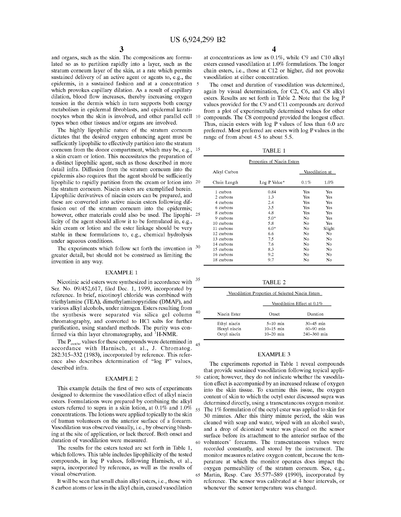35

65

and organs, such as the skin. The compositions are formu lated so as to partition rapidly into a layer, such as the stratum corneum layer of the skin, at a rate Which permits sustained delivery of an active agent or agents to, e.g., the epidermis, in a sustained fashion and at a concentration 5 Which provokes capillary dilation. As a result of capillary dilation, blood flow increases, thereby increasing oxygen tension in the dermis Which in turn supports both energy metabolism in epidermal fibroblasts, and epidermal keratinocytes When the skin is involved, and other parallel cell 10 types When other tissues and/or organs are involved.

The highly lipophilic nature of the stratum corneum dictates that the desired oxygen enhancing agent must be sufficiently lipophilic to effectively partition into the stratum corneum from the donor compartment, Which may be, e.g., 15 a skin cream or lotion. This necessitates the preparation of a distinct lipophilic agent, such as those described in more detail infra. Diffusion from the stratum corneum into the epidermis also requires that the agent should be sufficiently lipophilic to rapidly partition from the cream or lotion into 20 the stratum corneum. Niacin esters are exemplified herein. Lipophilic derivatives of niacin esters can be prepared, and these are converted into active niacin esters folloWing dif fusion out of the stratum corneum into the epidermis; however, other materials could also be used. The lipophi- 25 licity of the agent should alloW it to be formulated in, e.g., skin cream or lotion and the ester linkage should be very stable in these formulations to, e.g., chemical hydrolysis under aqueous conditions.

The experiments which follow set forth the invention in  $30$ greater detail, but should not be construed as limiting the invention in any Way.

#### EXAMPLE 1

Nicotinic acid esters were synthesized in accordance with Ser. No. 09/452,617, filed Dec. 1, 1999, incorporated by reference. In brief, nicotinoyl chloride Was combined With triethylamine (TEA), dimethylaminopyridine (DMAP), and various alkyl alcohols, under nitrogen. Esters resulting from  $40$ the synthesis Were separated via silica gel column chromatography, and converted to HCl salts for further purification, using standard methods. The purity was confirmed via thin layer chromatography, and  ${}^{1}$ H-NMR.

The  $P_{oct/w}$  values for these compounds were determined in accordance with Harnisch, et al., J. Chromatog. 282:315-332 (1983), incorporated by reference. This reference also describes determination of "log P" values, described infra.  $45$ 

#### EXAMPLE 2

This example details the first of two sets of experiments designed to determine the vasodilation effect of alkyl niacin esters. Formulations Were prepared by combining the alkyl esters referred to supra in a skin lotion, at  $0.1\%$  and  $1.0\%$  55 concentrations. The lotions Were applied topically to the skin of human volunteers on the anterior surface of a forearm. Vasodilation Was observed visually, i.e., by observing blush ing at the site of application, or lack thereof. Both onset and duration of vasodilation Were measured.

The results for the esters tested are set forth in Table 1, Which folloWs. This table includes lipophilicity of the tested compounds, in log P values, folloWing Harnisch, et al., supra, incorporated by reference, as Well as the results of visual observation.

It Will be seen that small chain alkyl esters, i.e., those With 8 carbon atoms or less in the alkyl chain, caused vasodilation

4

at concentrations as loW as 0.1%, While C9 and C10 alkyl esters caused vasodilation at 1.0% formulations. The longer chain esters, i.e., those at C12 or higher, did not provoke vasodilation at either concentration.

The onset and duration of vasodilation Was determined, again by visual determination, for C2, C6, and C8 alkyl esters. Results are set forth in Table 2. Note that the log P values provided for the C9 and C11 compounds are derived from a plot of experimentally determined values for other compounds. The C8 compound provided the longest effect. Thus, niacin esters With log P values of less than 6.0 are preferred. Most preferred are esters With log P values in the range of from about 4.5 to about 5.5.

TABLE 1

|              | Properties of Niacin Esters |      |                 |  |  |  |
|--------------|-----------------------------|------|-----------------|--|--|--|
| Alkyl Carbon |                             |      | Vasodilation at |  |  |  |
| Chain Length | Log P Value*                | 0.1% | 1.0%            |  |  |  |
| 1 carbon     | 0.84                        | Yes  | Yes             |  |  |  |
| 2 carbons    | 1.3                         | Yes  | Yes             |  |  |  |
| 4 carbons    | 2.4                         | Yes  | Yes             |  |  |  |
| 6 carbons    | 3.5                         | Yes  | Yes             |  |  |  |
| 8 carbons    | 4.8                         | Yes  | Yes             |  |  |  |
| 9 carbons    | $5.0*$                      | No   | Yes             |  |  |  |
| 10 carbons   | 5.8                         | No   | Yes             |  |  |  |
| 11 carbons   | $6.0*$                      | No   | Slight          |  |  |  |
| 12 carbons   | 6.6                         | No   | No              |  |  |  |
| 13 carbons   | 7.5                         | No   | No              |  |  |  |
| 14 carbons   | 7.6                         | No   | No              |  |  |  |
| 15 carbons   | 8.3                         | No   | No              |  |  |  |
| 16 carbons   | 9.2                         | No   | No              |  |  |  |
| 18 carbons   | 9.7                         | No   | No              |  |  |  |

TABLE 2

| Vasodilation Properties of Selected Niacin Esters |                                              |                                                   |  |  |
|---------------------------------------------------|----------------------------------------------|---------------------------------------------------|--|--|
|                                                   |                                              | Vasodilation Effect at 0.1%                       |  |  |
| Niacin Ester                                      | Onset                                        | Duration                                          |  |  |
| Ethyl niacin<br>Hexyl niacin<br>Octyl niacin      | $5-10$ min<br>$10 - 15$ min<br>$10 - 20$ min | $30 - 45$ min<br>$60 - 90$ min<br>$240 - 360$ min |  |  |

#### EXAMPLE 3

50 cation; hoWever, they do not indicate Whether the vasodila 60 volunteers' forearms. The transcutaneous values Were The experiments reported in Table 1 reveal compounds that provide sustained vasodilation folloWing topical appli tion effect is accompanied by an increased release of oxygen into the skin tissue. To examine this issue, the oxygen content of skin to Which the octyl ester discussed supra Was determined directly, using a transcutaneous oxygen monitor. The 1% formulation of the octyl ester Was applied to skin for 30 minutes. After this thirty minute period, the skin Was cleaned With soap and Water, Wiped With an alcohol sWab, and a drop of deionized water was placed on the sensor surface before its attachment to the anterior surface of the recorded constantly, and stored by the instrument. The monitor measures relative oxygen content, because the tem perature at Which the monitor operates does impact the oxygen permeability of the stratum corneum. See, e.g., Martin, Resp. Care 35:577-589 (1990), incorporated by reference. The sensor Was calibrated at 4 hour intervals, or whenever the sensor temperature was changed.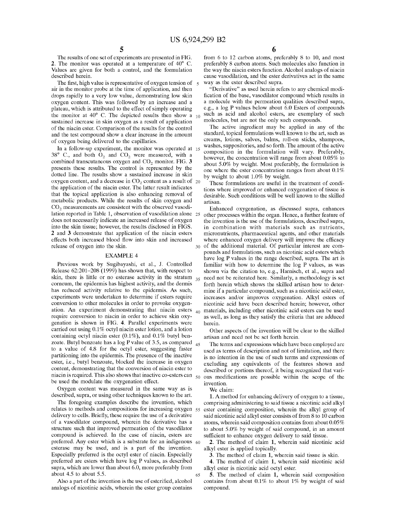30

The results of one set of experiments are presented in FIG. 2. The monitor Was operated at a temperature of 40° C. Values are given for both a control, and the formulation described herein.

The first, high value is representative of oxygen tension of  $\frac{1}{5}$ air in the monitor probe at the time of application, and then drops rapidly to a very low value, demonstrating low skin oxygen content. This Was folloWed by an increase and a plateau, Which is attributed to the effect of simply operating the monitor at 40 $^{\circ}$  C. The depicted results then show a  $_{10}$ sustained increase in skin oxygen as a result of application of the niacin ester. Comparison of the results for the control and the test compound shoW a clear increase in the amount of oxygen being delivered to the capillaries.

In a folloW-up experiment, the monitor Was operated at 15 38° C., and both  $O_2$  and  $CO_2$  were measured, with a combined transcutaneous oxygen and  $CO<sub>2</sub>$  monitor. FIG. 3 presents these results. The control is represented by the dotted line. The results show a sustained increase in skin oxygen content, and a decrease in  $CO_2$  content as a result of  $20$ the application of the niacin ester. The latter result indicates that the topical application is also enhancing removal of metabolic products. While the results of skin oxygen and CO<sub>2</sub> measurements are consistent with the observed vasodilation reported in Table 1, observation of vasodilation alone 25 does not necessarily indicate an increased release of oxygen into the skin tissue; hoWever, the results disclosed in FIGS. 2 and 3 demonstrate that application of the niacin esters effects both increased blood flow into skin and increased release of oxygen into the skin.

#### EXAMPLE 4

Previous Work by Sugibayashi, et al., J. Controlled Release 62:201—208 (1999) has shoWn that, With respect to skin, there is little or no esterase activity in the stratum  $_{35}$ corneum, the epidermis has highest activity, and the dermis has reduced activity relative to the epidermis. As such, experiments Were undertaken to determine if esters require conversion to other molecules in order to provoke oxygen ation. An experiment demonstrating that niacin esters 40 require conversion to niacin in order to achieve skin oxy genation is shoWn in FIG. 4. Parallel experiments Were carried out using 0.1% octyl niacin ester lotion, and a lotion containing octyl niacin ester  $(0.1\%)$ , and  $0.1\%$  butyl benzoate. Butyl benzoate has a log P value of 3.5, as compared  $_{45}$ to a value of 4.8 for the octyl ester, suggesting faster partitioning into the epidermis. The presence of the inactive ester, i.e., butyl benZoate, blocked the increase in oxygen content, demonstrating that the conversion of niacin ester to niacin is required. This also shows that inactive co-esters can  $_{50}$ be used the modulate the oxygenation effect.

Oxygen content Was measured in the same Way as is described, supra, or using other techniques known to the art.

The foregoing examples describe the invention, Which relates to methods and compositions for increasing oxygen 55 delivery to cells. Briefly, these require the use of a derivative of a vasodilator compound, Wherein the derivative has a structure such that improved permeation of the vasodilator compound is achieved. In the case of niacin, esters are preferred. Any ester which is a substrate for an indigenous  $\frac{60}{ }$ esterase may be used, and is a part of the invention. Especially preferred is the octyl ester of niacin. Especially preferred are esters Which have log P values, as described supra, which are lower than about 6.0, more preferably from about 4.5 to about 5.5.

Also a part of the invention is the use of esterified, alcohol analogs of nicotinic acids, Wherein the ester group contains from 6 to 12 carbon atoms, preferably 8 to 10, and most preferably 8 carbon atoms. Such molecules also function in the Way the niacin esters function. Alcohol analogs of niacin cause vasodilation, and the ester derivatives act in the same Way as the ester described supra.

"Derivative" as used herein refers to any chemical modi fication of the base, vasodilator compound which results in a molecule with the permeation qualities described supra, e.g., a log P values beloW about 6.0 Esters of compounds such as acid and alcohol esters, are exemplary of such molecules, but are not the only such compounds.

The active ingredient may be applied in any of the standard, topical formulations well known to the art, such as creams, lotions, salves, balms, roll-on sticks, shampoos, Washes, suppositories, and so forth. The amount of the active composition in the formulation Will vary. Preferably, however, the concentration will range from about 0.05% to about 5.0% by weight. Most preferably, the formulation is one where the ester concentration ranges from about 0.1% by Weight to about 1.0% by Weight.

These formulations are useful in the treatment of condi tions Where improved or enhanced oxygenation of tissue is desirable. Such conditions will be well known to the skilled artisan.

Enhanced oxygenation, as discussed supra, enhances other processes Within the organ. Hence, a further feature of the invention is the use of the formulations, described supra, in combination With materials such as nutrients, micronutrients, pharmaceutical agents, and other materials where enhanced oxygen delivery will improve the efficacy of the additional material. Of particular interest are com pounds and formulations, such as nicotinic acid esters Which have log P values in the range described, supra. The art is familiar with how to determine the log P values, as was shoWn via the citation to, e.g., Harnisch, et al., supra and need not be reiterated here. Similarly, a methodology is set forth herein which shows the skilled artisan how to determine if a particular compound, such as a nicotinic acid ester, increases and/or improves oxygenation. Alkyl esters of nicotinic acid have been described herein; hoWever, other materials, including other nicotinic acid esters can be used as Well, as long as they satisfy the criteria that are adduced herein.

Other aspects of the invention Will be clear to the skilled artisan and need not be set forth herein.

The terms and expressions Which have been employed are used as terms of description and not of limitation, and there is no intention in the use of such terms and expressions of excluding any equivalents of the features shoWn and described or portions thereof, it being recognized that various modifications are possible within the scope of the invention.

We claim:

65

1. Amethod for enhancing delivery of oxygen to a tissue, comprising administering to said tissue a nicotinic acid alkyl ester containing composition, Wherein the alkyl group of said nicotinic acid alkyl ester consists of from 8 to 10 carbon atoms, Wherein said composition contains from about 0.05 % to about 5.0% by Weight of said compound, in an amount sufficient to enhance oxygen delivery to said tissue.

2. The method of claim 1, Wherein said nicotinic acid alkyl ester is applied topically.

3. The method of claim 1, Wherein said tissue is skin.

4. The method of claim 1, Wherein said nicotinic acid alkyl ester is nicotinic acid octyl ester.

5. The method of claim 1, Wherein said composition contains from about 0.1% to about 1% by Weight of said compound.